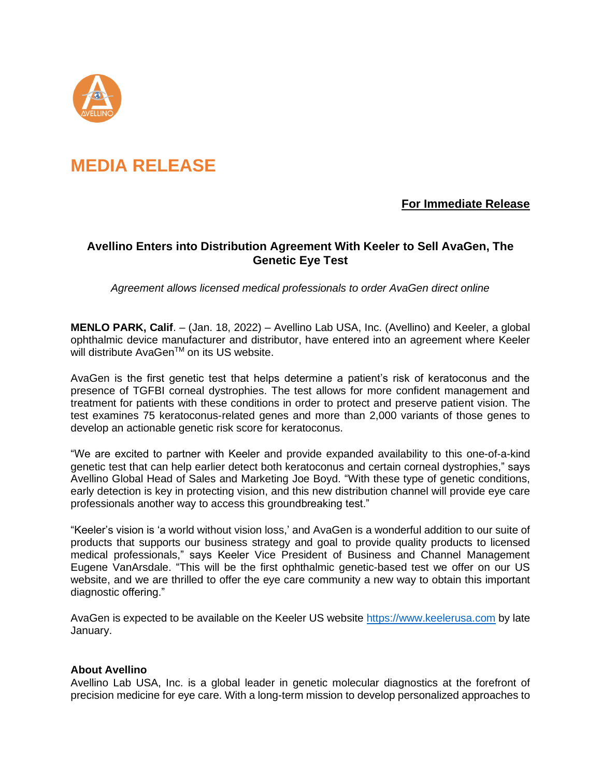

# **MEDIA RELEASE**

### **For Immediate Release**

## **Avellino Enters into Distribution Agreement With Keeler to Sell AvaGen, The Genetic Eye Test**

*Agreement allows licensed medical professionals to order AvaGen direct online*

**MENLO PARK, Calif**. – (Jan. 18, 2022) – Avellino Lab USA, Inc. (Avellino) and Keeler, a global ophthalmic device manufacturer and distributor, have entered into an agreement where Keeler will distribute AvaGen™ on its US website.

AvaGen is the first genetic test that helps determine a patient's risk of keratoconus and the presence of TGFBI corneal dystrophies. The test allows for more confident management and treatment for patients with these conditions in order to protect and preserve patient vision. The test examines 75 keratoconus-related genes and more than 2,000 variants of those genes to develop an actionable genetic risk score for keratoconus.

"We are excited to partner with Keeler and provide expanded availability to this one-of-a-kind genetic test that can help earlier detect both keratoconus and certain corneal dystrophies," says Avellino Global Head of Sales and Marketing Joe Boyd. "With these type of genetic conditions, early detection is key in protecting vision, and this new distribution channel will provide eye care professionals another way to access this groundbreaking test."

"Keeler's vision is 'a world without vision loss,' and AvaGen is a wonderful addition to our suite of products that supports our business strategy and goal to provide quality products to licensed medical professionals," says Keeler Vice President of Business and Channel Management Eugene VanArsdale. "This will be the first ophthalmic genetic-based test we offer on our US website, and we are thrilled to offer the eye care community a new way to obtain this important diagnostic offering."

AvaGen is expected to be available on the Keeler US website [https://www.keelerusa.com](https://www.keelerusa.com/) by late January.

#### **About Avellino**

Avellino Lab USA, Inc. is a global leader in genetic molecular diagnostics at the forefront of precision medicine for eye care. With a long-term mission to develop personalized approaches to